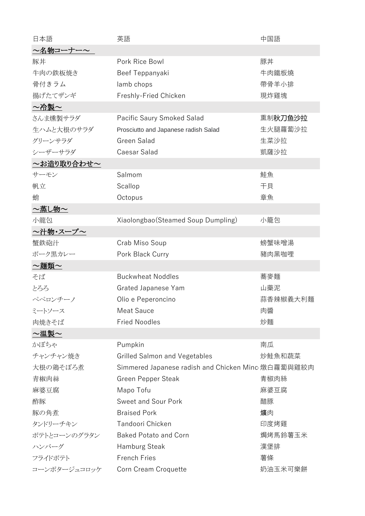| 日本語               | 英語                                                 | 中国語      |
|-------------------|----------------------------------------------------|----------|
| 2名物コーナー~          |                                                    |          |
| 豚丼                | Pork Rice Bowl                                     | 豚丼       |
| 牛肉の鉄板焼き           | Beef Teppanyaki                                    | 牛肉鐵板燒    |
| 骨付きラム             | lamb chops                                         | 帶骨羊小排    |
| 揚げたてザンギ           | Freshly-Fried Chicken                              | 現炸雞塊     |
| <u>〜冷製〜</u>       |                                                    |          |
| さんま燻製サラダ          | Pacific Saury Smoked Salad                         | 熏制秋刀鱼沙拉  |
| 生ハムと大根のサラダ        | Prosciutto and Japanese radish Salad               | 生火腿蘿蔔沙拉  |
| グリーンサラダ           | Green Salad                                        | 生菜沙拉     |
| シーザーサラダ           | Caesar Salad                                       | 凱薩沙拉     |
| <u>〜お造り取り合わせ〜</u> |                                                    |          |
| サーモン              | Salmom                                             | 鮭魚       |
| 帆立                | Scallop                                            | 干貝       |
| 蛸                 | Octopus                                            | 章魚       |
| <u>~蒸し物~</u>      |                                                    |          |
| 小龍包               | Xiaolongbao (Steamed Soup Dumpling)                | 小籠包      |
| <u>〜汁物・スープ〜</u>   |                                                    |          |
| 蟹鉄砲汁              | Crab Miso Soup                                     | 螃蟹味噌湯    |
| ポーク黒カレー           | Pork Black Curry                                   | 豬肉黑咖哩    |
| <u>〜麺類〜</u>       |                                                    |          |
| そば                | <b>Buckwheat Noddles</b>                           | 蕎麥麵      |
| とろろ               | <b>Grated Japanese Yam</b>                         | 山藥泥      |
| ペペロンチーノ           | Olio e Peperoncino                                 | 蒜香辣椒義大利麵 |
| ミートソース            | <b>Meat Sauce</b>                                  | 肉醬       |
| 肉焼きそば             | <b>Fried Noodles</b>                               | 炒麵       |
| ~温製~              |                                                    |          |
| かぼちゃ              | Pumpkin                                            | 南瓜       |
| チャンチャン焼き          | <b>Grilled Salmon and Vegetables</b>               | 炒鮭魚和蔬菜   |
| 大根の鶏そぼろ煮          | Simmered Japanese radish and Chicken Minc 燉白蘿蔔與雞絞肉 |          |
| 青椒肉絲              | <b>Green Pepper Steak</b>                          | 青椒肉絲     |
| 麻婆豆腐              | Mapo Tofu                                          | 麻婆豆腐     |
| 酢豚                | <b>Sweet and Sour Pork</b>                         | 醋豚       |
| 豚の角煮              | <b>Braised Pork</b>                                | 爌肉       |
| タンドリーチキン          | Tandoori Chicken                                   | 印度烤雞     |
| ポテトとコーンのグラタン      | <b>Baked Potato and Corn</b>                       | 焗烤馬鈴薯玉米  |
| ハンバーグ             | <b>Hamburg Steak</b>                               | 漢堡排      |
| フライドポテト           | <b>French Fries</b>                                | 薯條       |
| コーンポタージュコロッケ      | Corn Cream Croquette                               | 奶油玉米可樂餅  |